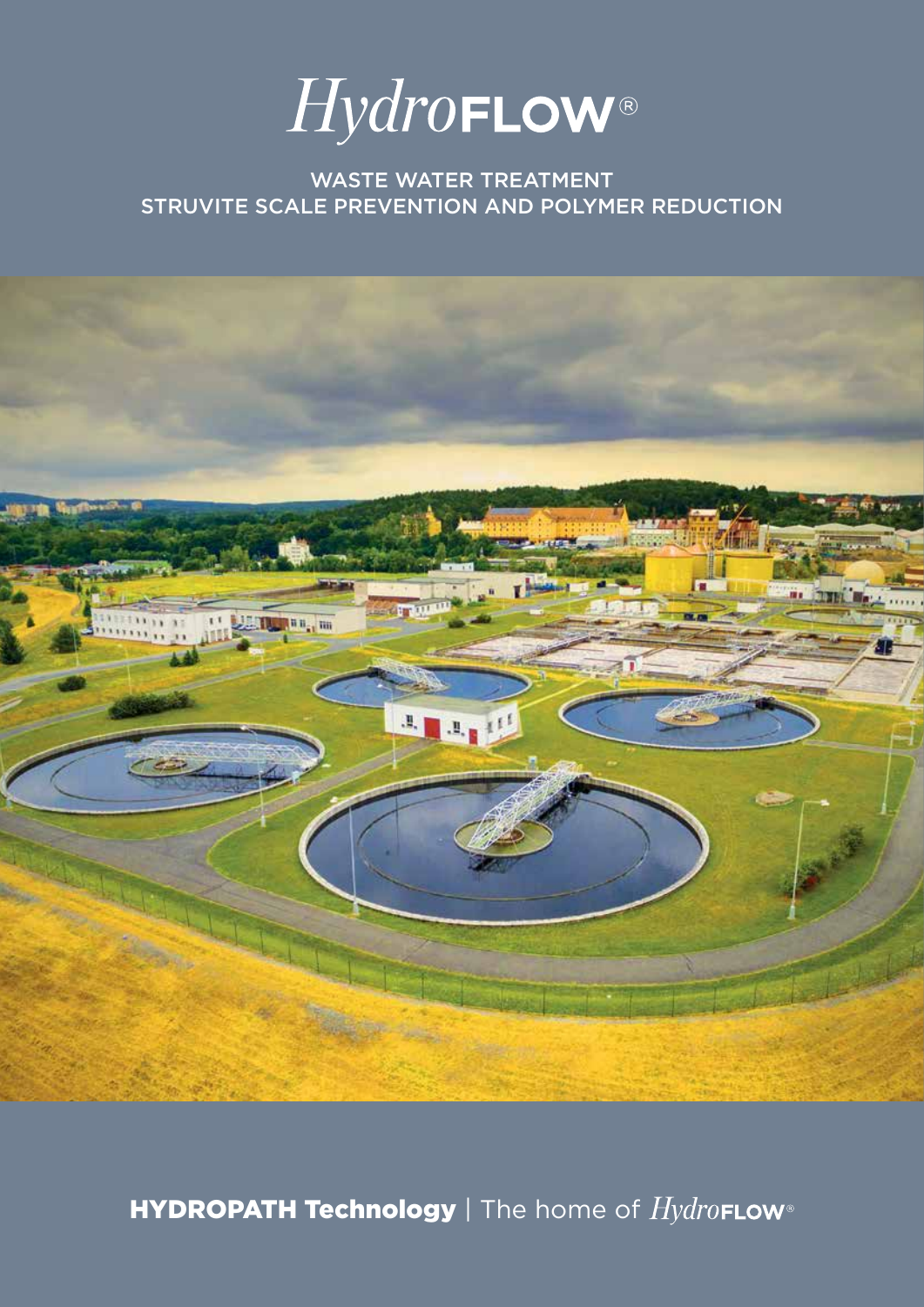

# WASTE WATER TREATMENT STRUVITE SCALE PREVENTION AND POLYMER REDUCTION



HYDROPATH Technology | The home of  $Hydro$ FLOW®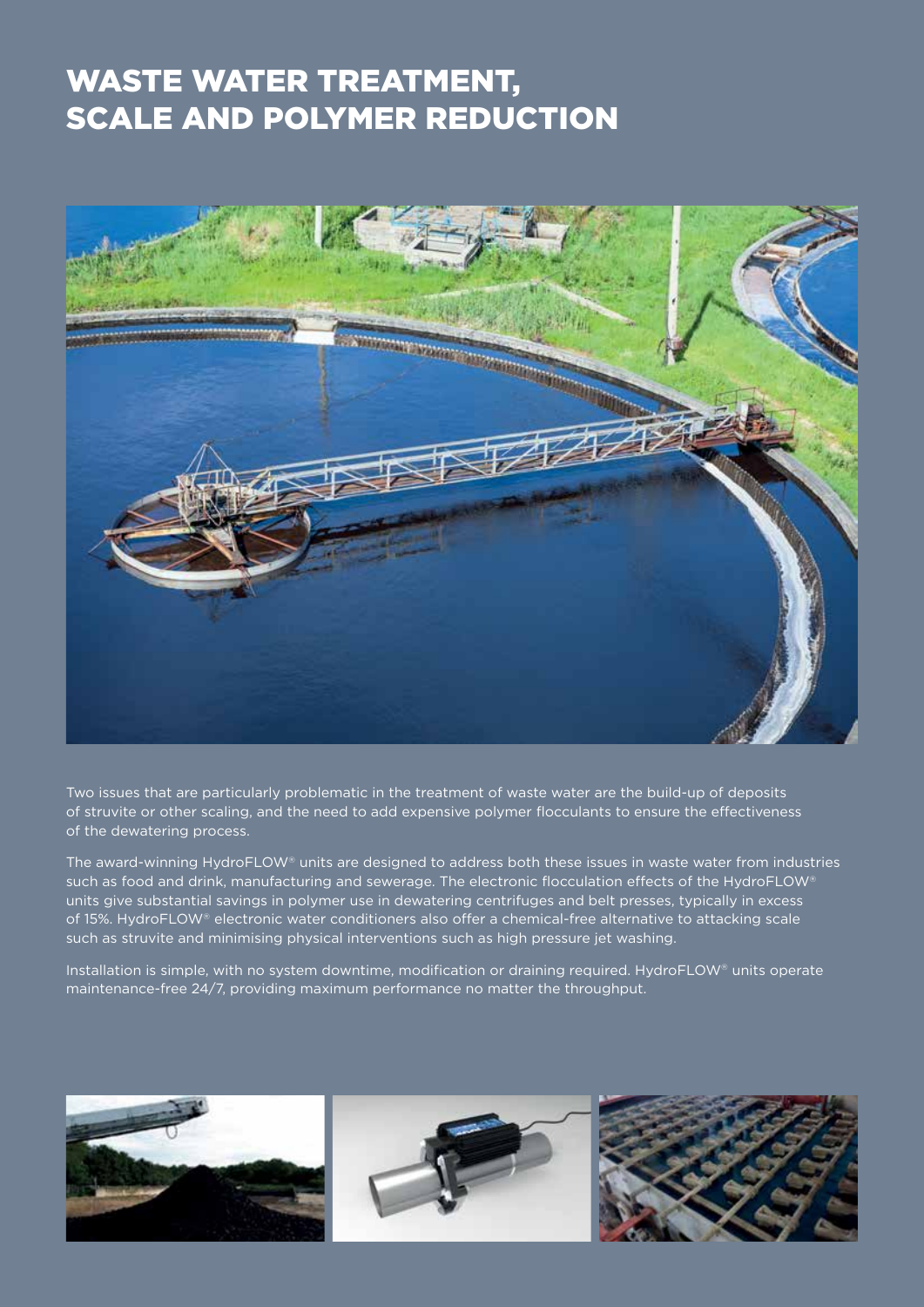# WASTE WATER TREATMENT, SCALE AND POLYMER REDUCTION



Two issues that are particularly problematic in the treatment of waste water are the build-up of deposits of struvite or other scaling, and the need to add expensive polymer flocculants to ensure the effectiveness of the dewatering process.

The award-winning HydroFLOW® units are designed to address both these issues in waste water from industries such as food and drink, manufacturing and sewerage. The electronic flocculation effects of the HydroFLOW® units give substantial savings in polymer use in dewatering centrifuges and belt presses, typically in excess of 15%. HydroFLOW® electronic water conditioners also offer a chemical-free alternative to attacking scale such as struvite and minimising physical interventions such as high pressure jet washing.

Installation is simple, with no system downtime, modification or draining required. HydroFLOW® units operate maintenance-free 24/7, providing maximum performance no matter the throughput.

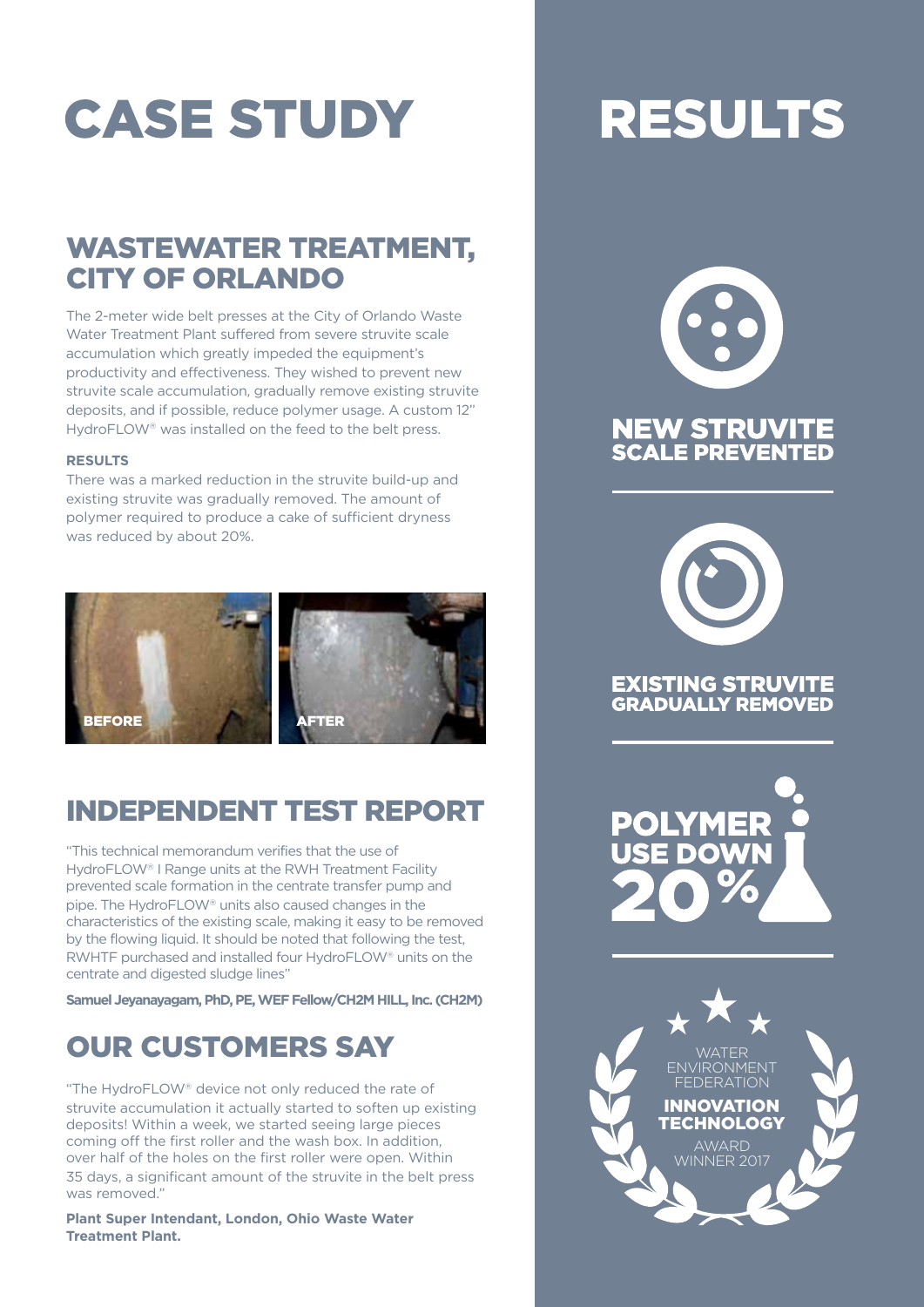# **CASE STUDY**

# WASTEWATER TREATMENT, CITY OF ORLANDO

The 2-meter wide belt presses at the City of Orlando Waste Water Treatment Plant suffered from severe struvite scale accumulation which greatly impeded the equipment's productivity and effectiveness. They wished to prevent new struvite scale accumulation, gradually remove existing struvite deposits, and if possible, reduce polymer usage. A custom 12" HydroFLOW® was installed on the feed to the belt press.

#### **RESULTS**

There was a marked reduction in the struvite build-up and existing struvite was gradually removed. The amount of polymer required to produce a cake of sufficient dryness was reduced by about 20%.



# INDEPENDENT TEST REPORT

"This technical memorandum verifies that the use of HydroFLOW® I Range units at the RWH Treatment Facility prevented scale formation in the centrate transfer pump and pipe. The HydroFLOW® units also caused changes in the characteristics of the existing scale, making it easy to be removed by the flowing liquid. It should be noted that following the test, RWHTF purchased and installed four HydroFLOW® units on the centrate and digested sludge lines"

**Samuel Jeyanayagam, PhD, PE, WEF Fellow/CH2M HILL, Inc. (CH2M)**

# OUR CUSTOMERS SAY

"The HydroFLOW® device not only reduced the rate of struvite accumulation it actually started to soften up existing deposits! Within a week, we started seeing large pieces coming off the first roller and the wash box. In addition, over half of the holes on the first roller were open. Within 35 days, a significant amount of the struvite in the belt press was removed."

**Plant Super Intendant, London, Ohio Waste Water Treatment Plant.**

# **RESULTS**





## **EXISTING STRUVITE GRADUALLY REMOVED**